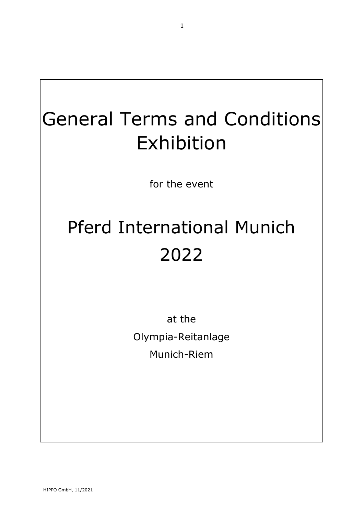## General Terms and Conditions Exhibition

for the event

# Pferd International Munich 2022

at the Olympia-Reitanlage Munich-Riem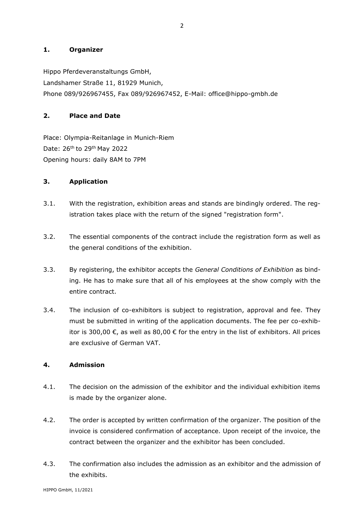#### **1. Organizer**

Hippo Pferdeveranstaltungs GmbH, Landshamer Straße 11, 81929 Munich, Phone 089/926967455, Fax 089/926967452, E-Mail: office@hippo-gmbh.de

#### **2. Place and Date**

Place: Olympia-Reitanlage in Munich-Riem Date: 26<sup>th</sup> to 29<sup>th</sup> May 2022 Opening hours: daily 8AM to 7PM

#### **3. Application**

- 3.1. With the registration, exhibition areas and stands are bindingly ordered. The registration takes place with the return of the signed "registration form".
- 3.2. The essential components of the contract include the registration form as well as the general conditions of the exhibition.
- 3.3. By registering, the exhibitor accepts the *General Conditions of Exhibition* as binding. He has to make sure that all of his employees at the show comply with the entire contract.
- 3.4. The inclusion of co-exhibitors is subject to registration, approval and fee. They must be submitted in writing of the application documents. The fee per co-exhibitor is 300,00 €, as well as 80,00 € for the entry in the list of exhibitors. All prices are exclusive of German VAT.

#### **4. Admission**

- 4.1. The decision on the admission of the exhibitor and the individual exhibition items is made by the organizer alone.
- 4.2. The order is accepted by written confirmation of the organizer. The position of the invoice is considered confirmation of acceptance. Upon receipt of the invoice, the contract between the organizer and the exhibitor has been concluded.
- 4.3. The confirmation also includes the admission as an exhibitor and the admission of the exhibits.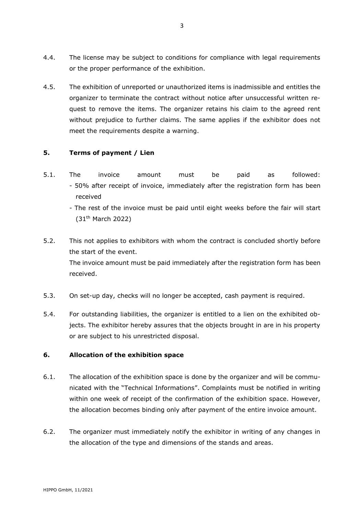- 4.4. The license may be subject to conditions for compliance with legal requirements or the proper performance of the exhibition.
- 4.5. The exhibition of unreported or unauthorized items is inadmissible and entitles the organizer to terminate the contract without notice after unsuccessful written request to remove the items. The organizer retains his claim to the agreed rent without prejudice to further claims. The same applies if the exhibitor does not meet the requirements despite a warning.

#### **5. Terms of payment / Lien**

- 5.1. The invoice amount must be paid as followed: - 50% after receipt of invoice, immediately after the registration form has been received
	- The rest of the invoice must be paid until eight weeks before the fair will start (31th March 2022)
- 5.2. This not applies to exhibitors with whom the contract is concluded shortly before the start of the event. The invoice amount must be paid immediately after the registration form has been received.
- 5.3. On set-up day, checks will no longer be accepted, cash payment is required.
- 5.4. For outstanding liabilities, the organizer is entitled to a lien on the exhibited objects. The exhibitor hereby assures that the objects brought in are in his property or are subject to his unrestricted disposal.

#### **6. Allocation of the exhibition space**

- 6.1. The allocation of the exhibition space is done by the organizer and will be communicated with the "Technical Informations". Complaints must be notified in writing within one week of receipt of the confirmation of the exhibition space. However, the allocation becomes binding only after payment of the entire invoice amount.
- 6.2. The organizer must immediately notify the exhibitor in writing of any changes in the allocation of the type and dimensions of the stands and areas.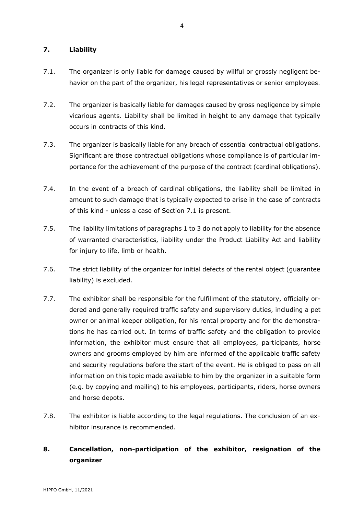#### **7. Liability**

- 7.1. The organizer is only liable for damage caused by willful or grossly negligent behavior on the part of the organizer, his legal representatives or senior employees.
- 7.2. The organizer is basically liable for damages caused by gross negligence by simple vicarious agents. Liability shall be limited in height to any damage that typically occurs in contracts of this kind.
- 7.3. The organizer is basically liable for any breach of essential contractual obligations. Significant are those contractual obligations whose compliance is of particular importance for the achievement of the purpose of the contract (cardinal obligations).
- 7.4. In the event of a breach of cardinal obligations, the liability shall be limited in amount to such damage that is typically expected to arise in the case of contracts of this kind - unless a case of Section 7.1 is present.
- 7.5. The liability limitations of paragraphs 1 to 3 do not apply to liability for the absence of warranted characteristics, liability under the Product Liability Act and liability for injury to life, limb or health.
- 7.6. The strict liability of the organizer for initial defects of the rental object (guarantee liability) is excluded.
- 7.7. The exhibitor shall be responsible for the fulfillment of the statutory, officially ordered and generally required traffic safety and supervisory duties, including a pet owner or animal keeper obligation, for his rental property and for the demonstrations he has carried out. In terms of traffic safety and the obligation to provide information, the exhibitor must ensure that all employees, participants, horse owners and grooms employed by him are informed of the applicable traffic safety and security regulations before the start of the event. He is obliged to pass on all information on this topic made available to him by the organizer in a suitable form (e.g. by copying and mailing) to his employees, participants, riders, horse owners and horse depots.
- 7.8. The exhibitor is liable according to the legal regulations. The conclusion of an exhibitor insurance is recommended.

### **8. Cancellation, non-participation of the exhibitor, resignation of the organizer**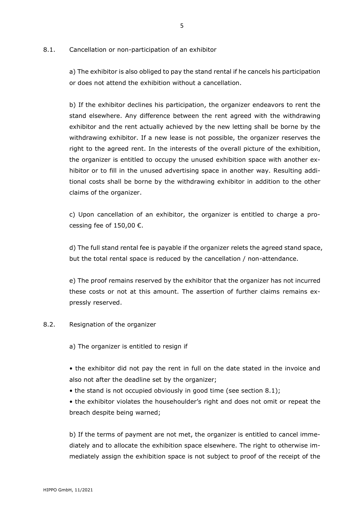8.1. Cancellation or non-participation of an exhibitor

a) The exhibitor is also obliged to pay the stand rental if he cancels his participation or does not attend the exhibition without a cancellation.

b) If the exhibitor declines his participation, the organizer endeavors to rent the stand elsewhere. Any difference between the rent agreed with the withdrawing exhibitor and the rent actually achieved by the new letting shall be borne by the withdrawing exhibitor. If a new lease is not possible, the organizer reserves the right to the agreed rent. In the interests of the overall picture of the exhibition, the organizer is entitled to occupy the unused exhibition space with another exhibitor or to fill in the unused advertising space in another way. Resulting additional costs shall be borne by the withdrawing exhibitor in addition to the other claims of the organizer.

c) Upon cancellation of an exhibitor, the organizer is entitled to charge a processing fee of  $150,00 \in$ .

d) The full stand rental fee is payable if the organizer relets the agreed stand space, but the total rental space is reduced by the cancellation / non-attendance.

e) The proof remains reserved by the exhibitor that the organizer has not incurred these costs or not at this amount. The assertion of further claims remains expressly reserved.

#### 8.2. Resignation of the organizer

a) The organizer is entitled to resign if

• the exhibitor did not pay the rent in full on the date stated in the invoice and also not after the deadline set by the organizer;

• the stand is not occupied obviously in good time (see section 8.1);

• the exhibitor violates the househoulder's right and does not omit or repeat the breach despite being warned;

b) If the terms of payment are not met, the organizer is entitled to cancel immediately and to allocate the exhibition space elsewhere. The right to otherwise immediately assign the exhibition space is not subject to proof of the receipt of the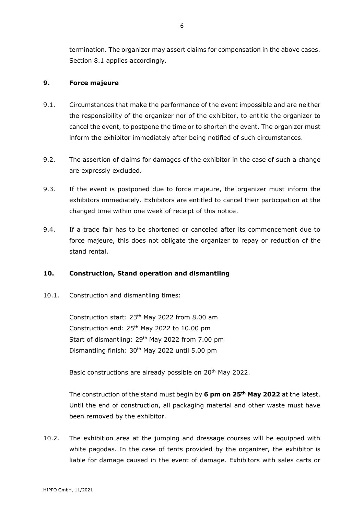termination. The organizer may assert claims for compensation in the above cases. Section 8.1 applies accordingly.

#### **9. Force majeure**

- 9.1. Circumstances that make the performance of the event impossible and are neither the responsibility of the organizer nor of the exhibitor, to entitle the organizer to cancel the event, to postpone the time or to shorten the event. The organizer must inform the exhibitor immediately after being notified of such circumstances.
- 9.2. The assertion of claims for damages of the exhibitor in the case of such a change are expressly excluded.
- 9.3. If the event is postponed due to force majeure, the organizer must inform the exhibitors immediately. Exhibitors are entitled to cancel their participation at the changed time within one week of receipt of this notice.
- 9.4. If a trade fair has to be shortened or canceled after its commencement due to force majeure, this does not obligate the organizer to repay or reduction of the stand rental.

#### **10. Construction, Stand operation and dismantling**

10.1. Construction and dismantling times:

Construction start: 23th May 2022 from 8.00 am Construction end:  $25<sup>th</sup>$  May 2022 to 10.00 pm Start of dismantling: 29<sup>th</sup> May 2022 from 7.00 pm Dismantling finish: 30<sup>th</sup> May 2022 until 5.00 pm

Basic constructions are already possible on 20<sup>th</sup> May 2022.

The construction of the stand must begin by **6 pm on 25th May 2022** at the latest. Until the end of construction, all packaging material and other waste must have been removed by the exhibitor.

10.2. The exhibition area at the jumping and dressage courses will be equipped with white pagodas. In the case of tents provided by the organizer, the exhibitor is liable for damage caused in the event of damage. Exhibitors with sales carts or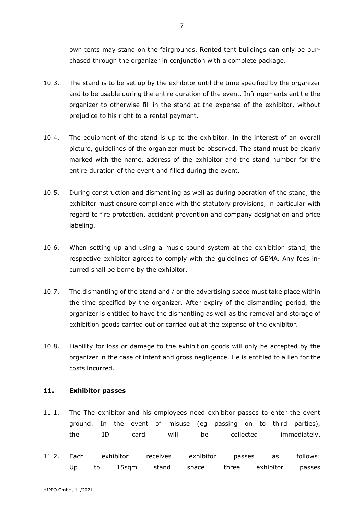own tents may stand on the fairgrounds. Rented tent buildings can only be purchased through the organizer in conjunction with a complete package.

- 10.3. The stand is to be set up by the exhibitor until the time specified by the organizer and to be usable during the entire duration of the event. Infringements entitle the organizer to otherwise fill in the stand at the expense of the exhibitor, without prejudice to his right to a rental payment.
- 10.4. The equipment of the stand is up to the exhibitor. In the interest of an overall picture, guidelines of the organizer must be observed. The stand must be clearly marked with the name, address of the exhibitor and the stand number for the entire duration of the event and filled during the event.
- 10.5. During construction and dismantling as well as during operation of the stand, the exhibitor must ensure compliance with the statutory provisions, in particular with regard to fire protection, accident prevention and company designation and price labeling.
- 10.6. When setting up and using a music sound system at the exhibition stand, the respective exhibitor agrees to comply with the guidelines of GEMA. Any fees incurred shall be borne by the exhibitor.
- 10.7. The dismantling of the stand and / or the advertising space must take place within the time specified by the organizer. After expiry of the dismantling period, the organizer is entitled to have the dismantling as well as the removal and storage of exhibition goods carried out or carried out at the expense of the exhibitor.
- 10.8. Liability for loss or damage to the exhibition goods will only be accepted by the organizer in the case of intent and gross negligence. He is entitled to a lien for the costs incurred.

#### **11. Exhibitor passes**

- 11.1. The The exhibitor and his employees need exhibitor passes to enter the event ground. In the event of misuse (eg passing on to third parties), the ID card will be collected immediately.
- 11.2. Each exhibitor receives exhibitor passes as follows: Up to 15sqm stand space: three exhibitor passes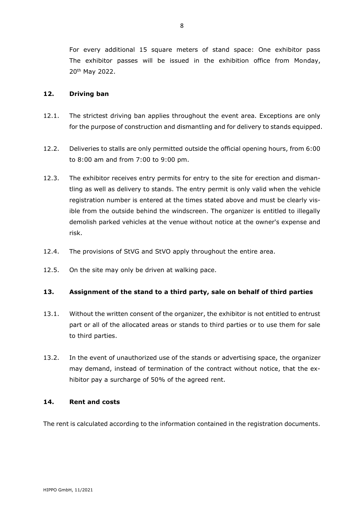For every additional 15 square meters of stand space: One exhibitor pass The exhibitor passes will be issued in the exhibition office from Monday, 20th May 2022.

#### **12. Driving ban**

- 12.1. The strictest driving ban applies throughout the event area. Exceptions are only for the purpose of construction and dismantling and for delivery to stands equipped.
- 12.2. Deliveries to stalls are only permitted outside the official opening hours, from 6:00 to 8:00 am and from 7:00 to 9:00 pm.
- 12.3. The exhibitor receives entry permits for entry to the site for erection and dismantling as well as delivery to stands. The entry permit is only valid when the vehicle registration number is entered at the times stated above and must be clearly visible from the outside behind the windscreen. The organizer is entitled to illegally demolish parked vehicles at the venue without notice at the owner's expense and risk.
- 12.4. The provisions of StVG and StVO apply throughout the entire area.
- 12.5. On the site may only be driven at walking pace.

#### **13. Assignment of the stand to a third party, sale on behalf of third parties**

- 13.1. Without the written consent of the organizer, the exhibitor is not entitled to entrust part or all of the allocated areas or stands to third parties or to use them for sale to third parties.
- 13.2. In the event of unauthorized use of the stands or advertising space, the organizer may demand, instead of termination of the contract without notice, that the exhibitor pay a surcharge of 50% of the agreed rent.

#### **14. Rent and costs**

The rent is calculated according to the information contained in the registration documents.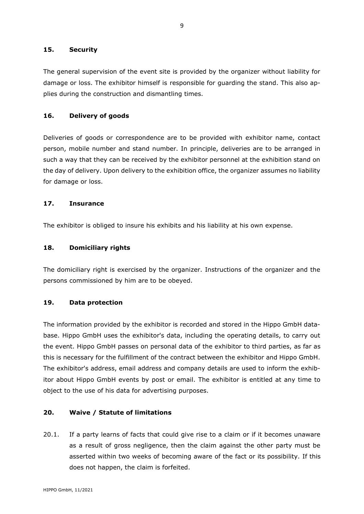#### **15. Security**

The general supervision of the event site is provided by the organizer without liability for damage or loss. The exhibitor himself is responsible for guarding the stand. This also applies during the construction and dismantling times.

#### **16. Delivery of goods**

Deliveries of goods or correspondence are to be provided with exhibitor name, contact person, mobile number and stand number. In principle, deliveries are to be arranged in such a way that they can be received by the exhibitor personnel at the exhibition stand on the day of delivery. Upon delivery to the exhibition office, the organizer assumes no liability for damage or loss.

#### **17. Insurance**

The exhibitor is obliged to insure his exhibits and his liability at his own expense.

#### **18. Domiciliary rights**

The domiciliary right is exercised by the organizer. Instructions of the organizer and the persons commissioned by him are to be obeyed.

#### **19. Data protection**

The information provided by the exhibitor is recorded and stored in the Hippo GmbH database. Hippo GmbH uses the exhibitor's data, including the operating details, to carry out the event. Hippo GmbH passes on personal data of the exhibitor to third parties, as far as this is necessary for the fulfillment of the contract between the exhibitor and Hippo GmbH. The exhibitor's address, email address and company details are used to inform the exhibitor about Hippo GmbH events by post or email. The exhibitor is entitled at any time to object to the use of his data for advertising purposes.

#### **20. Waive / Statute of limitations**

20.1. If a party learns of facts that could give rise to a claim or if it becomes unaware as a result of gross negligence, then the claim against the other party must be asserted within two weeks of becoming aware of the fact or its possibility. If this does not happen, the claim is forfeited.